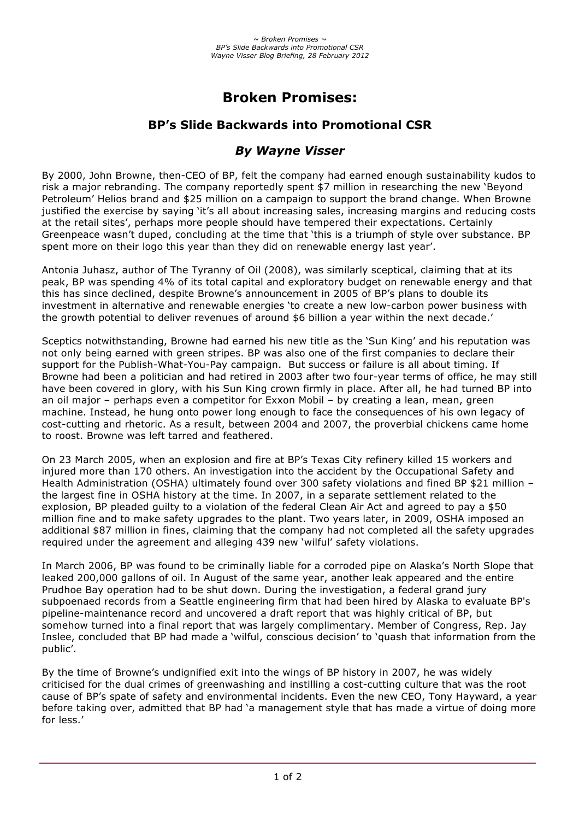# **Broken Promises:**

## **BP's Slide Backwards into Promotional CSR**

### *By Wayne Visser*

By 2000, John Browne, then-CEO of BP, felt the company had earned enough sustainability kudos to risk a major rebranding. The company reportedly spent \$7 million in researching the new 'Beyond Petroleum' Helios brand and \$25 million on a campaign to support the brand change. When Browne justified the exercise by saying 'it's all about increasing sales, increasing margins and reducing costs at the retail sites', perhaps more people should have tempered their expectations. Certainly Greenpeace wasn't duped, concluding at the time that 'this is a triumph of style over substance. BP spent more on their logo this year than they did on renewable energy last year'.

Antonia Juhasz, author of The Tyranny of Oil (2008), was similarly sceptical, claiming that at its peak, BP was spending 4% of its total capital and exploratory budget on renewable energy and that this has since declined, despite Browne's announcement in 2005 of BP's plans to double its investment in alternative and renewable energies 'to create a new low-carbon power business with the growth potential to deliver revenues of around \$6 billion a year within the next decade.'

Sceptics notwithstanding, Browne had earned his new title as the 'Sun King' and his reputation was not only being earned with green stripes. BP was also one of the first companies to declare their support for the Publish-What-You-Pay campaign. But success or failure is all about timing. If Browne had been a politician and had retired in 2003 after two four-year terms of office, he may still have been covered in glory, with his Sun King crown firmly in place. After all, he had turned BP into an oil major – perhaps even a competitor for Exxon Mobil – by creating a lean, mean, green machine. Instead, he hung onto power long enough to face the consequences of his own legacy of cost-cutting and rhetoric. As a result, between 2004 and 2007, the proverbial chickens came home to roost. Browne was left tarred and feathered.

On 23 March 2005, when an explosion and fire at BP's Texas City refinery killed 15 workers and injured more than 170 others. An investigation into the accident by the Occupational Safety and Health Administration (OSHA) ultimately found over 300 safety violations and fined BP \$21 million the largest fine in OSHA history at the time. In 2007, in a separate settlement related to the explosion, BP pleaded guilty to a violation of the federal Clean Air Act and agreed to pay a \$50 million fine and to make safety upgrades to the plant. Two years later, in 2009, OSHA imposed an additional \$87 million in fines, claiming that the company had not completed all the safety upgrades required under the agreement and alleging 439 new 'wilful' safety violations.

In March 2006, BP was found to be criminally liable for a corroded pipe on Alaska's North Slope that leaked 200,000 gallons of oil. In August of the same year, another leak appeared and the entire Prudhoe Bay operation had to be shut down. During the investigation, a federal grand jury subpoenaed records from a Seattle engineering firm that had been hired by Alaska to evaluate BP's pipeline-maintenance record and uncovered a draft report that was highly critical of BP, but somehow turned into a final report that was largely complimentary. Member of Congress, Rep. Jay Inslee, concluded that BP had made a 'wilful, conscious decision' to 'quash that information from the public'.

By the time of Browne's undignified exit into the wings of BP history in 2007, he was widely criticised for the dual crimes of greenwashing and instilling a cost-cutting culture that was the root cause of BP's spate of safety and environmental incidents. Even the new CEO, Tony Hayward, a year before taking over, admitted that BP had 'a management style that has made a virtue of doing more for less.'